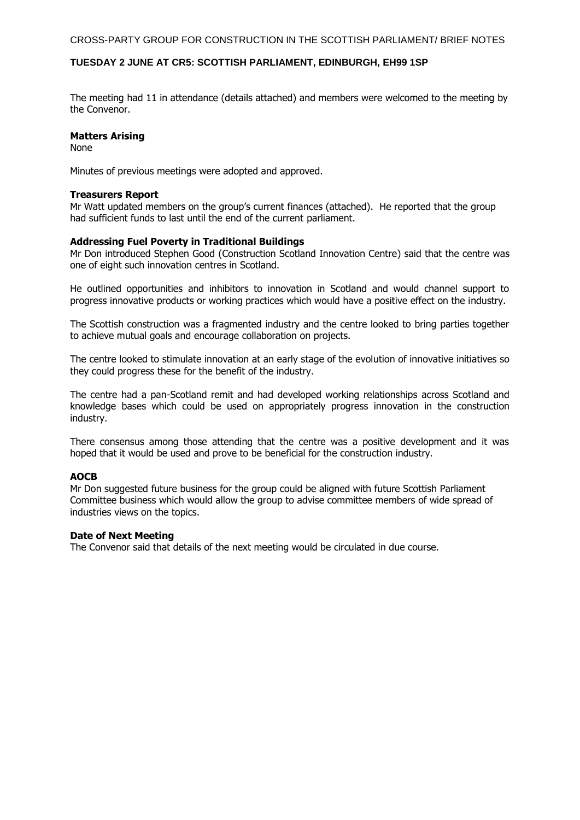CROSS-PARTY GROUP FOR CONSTRUCTION IN THE SCOTTISH PARLIAMENT/ BRIEF NOTES

## **TUESDAY 2 JUNE AT CR5: SCOTTISH PARLIAMENT, EDINBURGH, EH99 1SP**

The meeting had 11 in attendance (details attached) and members were welcomed to the meeting by the Convenor.

# **Matters Arising**

None

Minutes of previous meetings were adopted and approved.

#### **Treasurers Report**

Mr Watt updated members on the group's current finances (attached). He reported that the group had sufficient funds to last until the end of the current parliament.

## **Addressing Fuel Poverty in Traditional Buildings**

Mr Don introduced Stephen Good (Construction Scotland Innovation Centre) said that the centre was one of eight such innovation centres in Scotland.

He outlined opportunities and inhibitors to innovation in Scotland and would channel support to progress innovative products or working practices which would have a positive effect on the industry.

The Scottish construction was a fragmented industry and the centre looked to bring parties together to achieve mutual goals and encourage collaboration on projects.

The centre looked to stimulate innovation at an early stage of the evolution of innovative initiatives so they could progress these for the benefit of the industry.

The centre had a pan-Scotland remit and had developed working relationships across Scotland and knowledge bases which could be used on appropriately progress innovation in the construction industry.

There consensus among those attending that the centre was a positive development and it was hoped that it would be used and prove to be beneficial for the construction industry.

# **AOCB**

Mr Don suggested future business for the group could be aligned with future Scottish Parliament Committee business which would allow the group to advise committee members of wide spread of industries views on the topics.

#### **Date of Next Meeting**

The Convenor said that details of the next meeting would be circulated in due course.